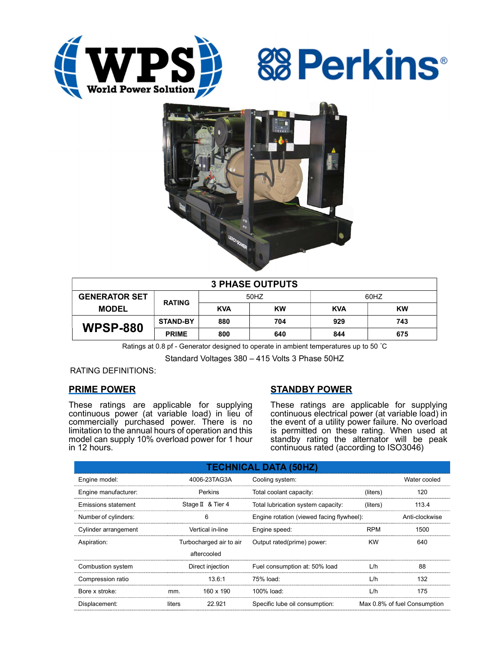





| <b>3 PHASE OUTPUTS</b> |                 |            |           |            |           |  |  |
|------------------------|-----------------|------------|-----------|------------|-----------|--|--|
| <b>GENERATOR SET</b>   | <b>RATING</b>   | 50HZ       |           | 60HZ       |           |  |  |
| <b>MODEL</b>           |                 | <b>KVA</b> | <b>KW</b> | <b>KVA</b> | <b>KW</b> |  |  |
| <b>WPSP-880</b>        | <b>STAND-BY</b> | 880        | 704       | 929        | 743       |  |  |
|                        | <b>PRIME</b>    | 800        | 640       | 844        | 675       |  |  |

Ratings at 0.8 pf - Generator designed to operate in ambient temperatures up to 50 °C

Standard Voltages 380 – 415 Volts 3 Phase 50HZ

RATING DEFINITIONS:

## PRIME POWER

These ratings are applicable for supplying continuous power (at variable load) in lieu of commercially purchased power. There is no limitation to the annual hours of operation and this model can supply 10% overload power for 1 hour in 12 hours.

# STANDBY POWER

These ratings are applicable for supplying continuous electrical power (at variable load) in the event of a utility power failure. No overload is permitted on these rating. When used at standby rating the alternator will be peak continuous rated (according to ISO3046)

| <b>TECHNICAL DATA (50HZ)</b> |                         |             |                                           |                              |                |  |  |
|------------------------------|-------------------------|-------------|-------------------------------------------|------------------------------|----------------|--|--|
| Engine model:                | 4006-23TAG3A            |             | Cooling system:                           | Water cooled                 |                |  |  |
| Engine manufacturer:         | Perkins                 |             | Total coolant capacity:                   | (liters)                     | 120            |  |  |
| Emissions statement          | Stage II & Tier 4       |             | Total lubrication system capacity:        | (liters)                     | 113.4          |  |  |
| Number of cylinders:         | 6                       |             | Engine rotation (viewed facing flywheel): |                              | Anti-clockwise |  |  |
| Cylinder arrangement         | Vertical in-line        |             | Engine speed:                             | <b>RPM</b>                   | 1500           |  |  |
| Aspiration:                  | Turbocharged air to air |             | Output rated(prime) power:                | <b>KW</b>                    | 640            |  |  |
|                              |                         | aftercooled |                                           |                              |                |  |  |
| Combustion system            | Direct injection        |             | Fuel consumption at: 50% load             | L/h                          | 88             |  |  |
| Compression ratio            |                         | 13.6:1      | 75% load:                                 | L/h                          | 132            |  |  |
| Bore x stroke:               | mm.                     | 160 x 190   | 100% load:                                | L/h                          | 175            |  |  |
| Displacement:                | 22.921<br>liters        |             | Specific lube oil consumption:            | Max 0.8% of fuel Consumption |                |  |  |